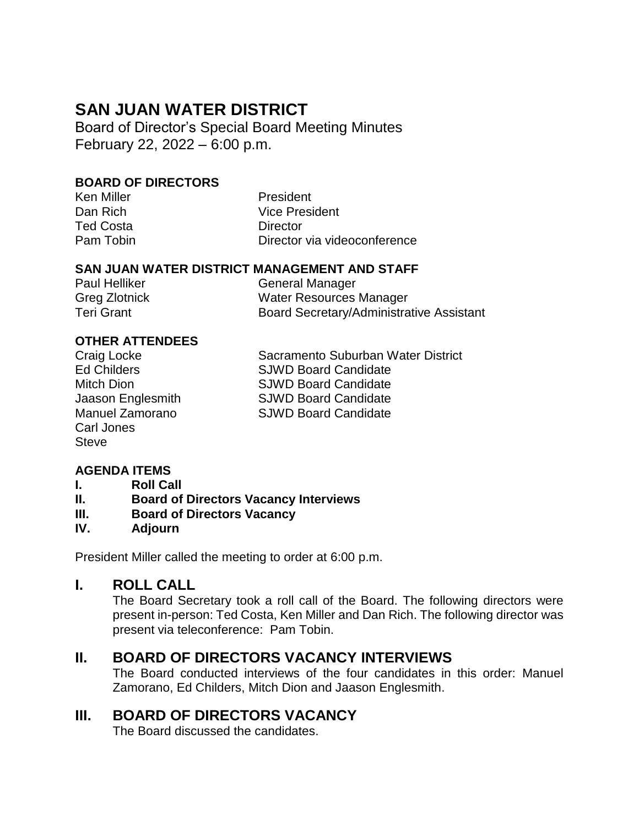# **SAN JUAN WATER DISTRICT**

Board of Director's Special Board Meeting Minutes February 22, 2022 – 6:00 p.m.

#### **BOARD OF DIRECTORS**

| Ken Miller       | President                    |
|------------------|------------------------------|
| Dan Rich         | <b>Vice President</b>        |
| <b>Ted Costa</b> | Director                     |
| Pam Tobin        | Director via videoconference |

#### **SAN JUAN WATER DISTRICT MANAGEMENT AND STAFF**

| Paul Helliker        | General Manager                                 |
|----------------------|-------------------------------------------------|
| <b>Greg Zlotnick</b> | Water Resources Manager                         |
| Teri Grant           | <b>Board Secretary/Administrative Assistant</b> |

#### **OTHER ATTENDEES**

| Craig Locke            |
|------------------------|
| <b>Ed Childers</b>     |
| <b>Mitch Dion</b>      |
| Jaason Englesmith      |
| <b>Manuel Zamorano</b> |
| Carl Jones             |
| <b>Steve</b>           |
|                        |

Sacramento Suburban Water District SJWD Board Candidate SJWD Board Candidate SJWD Board Candidate SJWD Board Candidate

# **AGENDA ITEMS**

- **I. Roll Call**
- **II. Board of Directors Vacancy Interviews**
- **III. Board of Directors Vacancy**
- **IV. Adjourn**

President Miller called the meeting to order at 6:00 p.m.

#### **I. ROLL CALL**

The Board Secretary took a roll call of the Board. The following directors were present in-person: Ted Costa, Ken Miller and Dan Rich. The following director was present via teleconference: Pam Tobin.

# **II. BOARD OF DIRECTORS VACANCY INTERVIEWS**

The Board conducted interviews of the four candidates in this order: Manuel Zamorano, Ed Childers, Mitch Dion and Jaason Englesmith.

# **III. BOARD OF DIRECTORS VACANCY**

The Board discussed the candidates.